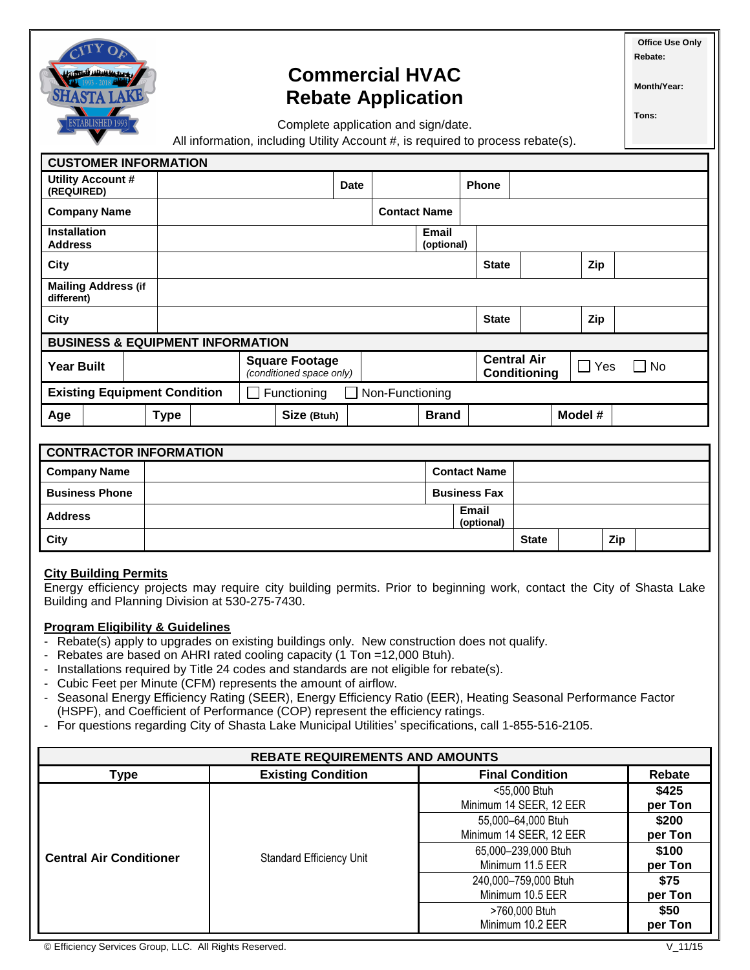

# **Commercial HVAC Rebate Application**

Complete application and sign/date.

**Office Use Only Rebate:** 

**Month/Year:**

**Tons:**

All information, including Utility Account #, is required to process rebate(s).

| <b>CUSTOMER INFORMATION</b>                                           |             |                                                   |             |                     |                            |                                           |            |           |
|-----------------------------------------------------------------------|-------------|---------------------------------------------------|-------------|---------------------|----------------------------|-------------------------------------------|------------|-----------|
| Utility Account #<br>(REQUIRED)                                       |             |                                                   | <b>Date</b> |                     |                            | Phone                                     |            |           |
| <b>Company Name</b>                                                   |             |                                                   |             | <b>Contact Name</b> |                            |                                           |            |           |
| <b>Installation</b><br><b>Address</b>                                 |             |                                                   |             |                     | <b>Email</b><br>(optional) |                                           |            |           |
| <b>City</b>                                                           |             |                                                   |             |                     |                            | <b>State</b>                              | Zip        |           |
| <b>Mailing Address (if</b><br>different)                              |             |                                                   |             |                     |                            |                                           |            |           |
| City                                                                  |             |                                                   |             |                     |                            | <b>State</b>                              | Zip        |           |
| <b>BUSINESS &amp; EQUIPMENT INFORMATION</b>                           |             |                                                   |             |                     |                            |                                           |            |           |
| <b>Year Built</b>                                                     |             | <b>Square Footage</b><br>(conditioned space only) |             |                     |                            | <b>Central Air</b><br><b>Conditioning</b> | $\Box$ Yes | $\Box$ No |
| <b>Existing Equipment Condition</b><br>Non-Functioning<br>Functioning |             |                                                   |             |                     |                            |                                           |            |           |
| Age                                                                   | <b>Type</b> | Size (Btuh)                                       |             |                     | <b>Brand</b>               |                                           | Model #    |           |

| <b>CONTRACTOR INFORMATION</b> |  |                     |                     |              |  |     |  |
|-------------------------------|--|---------------------|---------------------|--------------|--|-----|--|
| <b>Company Name</b>           |  | <b>Contact Name</b> |                     |              |  |     |  |
| <b>Business Phone</b>         |  |                     | <b>Business Fax</b> |              |  |     |  |
| <b>Address</b>                |  |                     | Email<br>(optional) |              |  |     |  |
| City                          |  |                     |                     | <b>State</b> |  | Zip |  |

### **City Building Permits**

Energy efficiency projects may require city building permits. Prior to beginning work, contact the City of Shasta Lake Building and Planning Division at 530-275-7430.

### **Program Eligibility & Guidelines**

- Rebate(s) apply to upgrades on existing buildings only. New construction does not qualify.
- Rebates are based on AHRI rated cooling capacity (1 Ton =12,000 Btuh).
- Installations required by Title 24 codes and standards are not eligible for rebate(s).
- Cubic Feet per Minute (CFM) represents the amount of airflow.
- Seasonal Energy Efficiency Rating (SEER), Energy Efficiency Ratio (EER), Heating Seasonal Performance Factor (HSPF), and Coefficient of Performance (COP) represent the efficiency ratings.
- For questions regarding City of Shasta Lake Municipal Utilities' specifications, call 1-855-516-2105.

| <b>REBATE REQUIREMENTS AND AMOUNTS</b> |                                 |                                               |                  |  |  |
|----------------------------------------|---------------------------------|-----------------------------------------------|------------------|--|--|
| Type                                   | <b>Existing Condition</b>       | <b>Final Condition</b>                        | Rebate           |  |  |
| <b>Central Air Conditioner</b>         |                                 | <55,000 Btuh<br>Minimum 14 SEER, 12 EER       | \$425<br>per Ton |  |  |
|                                        |                                 | 55,000-64,000 Btuh<br>Minimum 14 SEER, 12 EER | \$200<br>per Ton |  |  |
|                                        | <b>Standard Efficiency Unit</b> | 65,000-239,000 Btuh<br>Minimum 11.5 EER       | \$100<br>per Ton |  |  |
|                                        |                                 | 240,000-759,000 Btuh<br>Minimum 10.5 EER      | \$75<br>per Ton  |  |  |
|                                        |                                 | >760,000 Btuh<br>Minimum 10.2 EER             | \$50<br>per Ton  |  |  |

© Efficiency Services Group, LLC. All Rights Reserved. V\_11/15